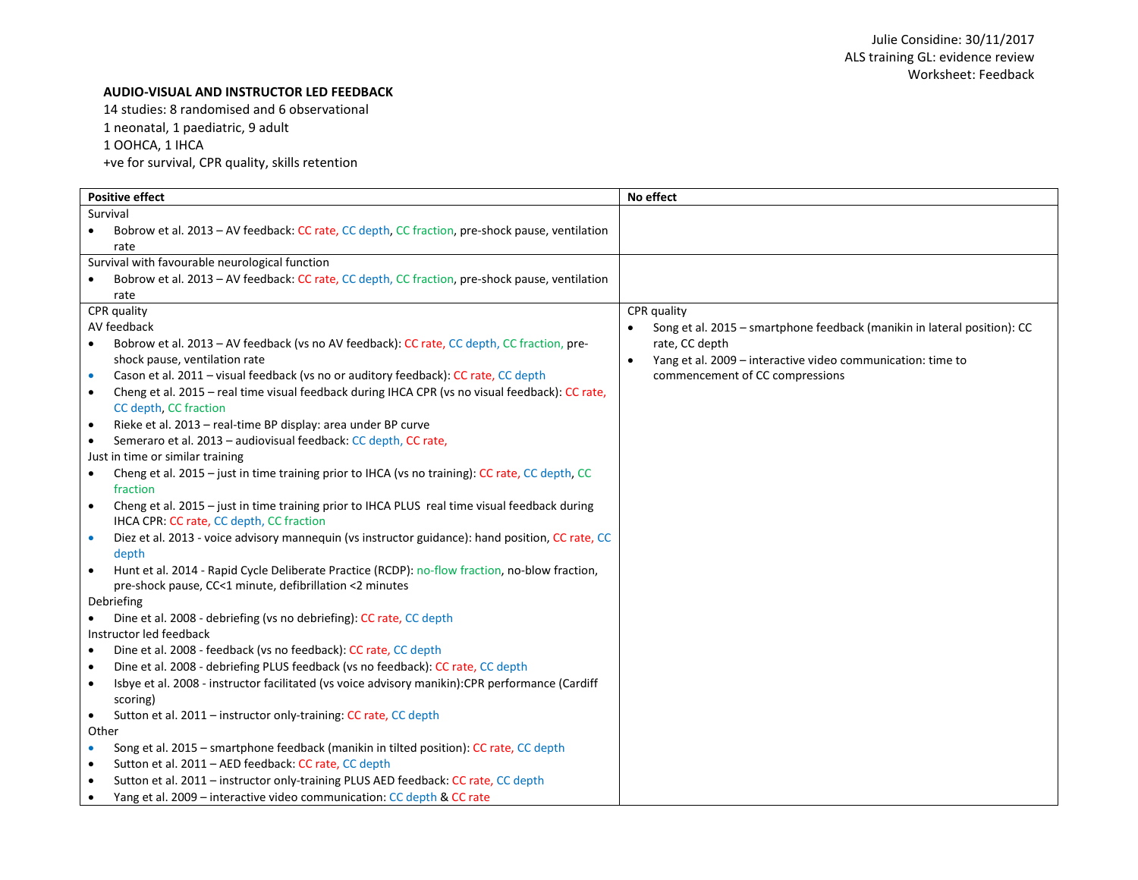### **AUDIO-VISUAL AND INSTRUCTOR LED FEEDBACK**

14 studies: 8 randomised and 6 observational

1 neonatal, 1 paediatric, 9 adult

1 OOHCA, 1 IHCA

+ve for survival, CPR quality, skills retention

| <b>Positive effect</b>                                                                                        | No effect                                                                |
|---------------------------------------------------------------------------------------------------------------|--------------------------------------------------------------------------|
| Survival                                                                                                      |                                                                          |
| Bobrow et al. 2013 - AV feedback: CC rate, CC depth, CC fraction, pre-shock pause, ventilation<br>$\bullet$   |                                                                          |
| rate                                                                                                          |                                                                          |
| Survival with favourable neurological function                                                                |                                                                          |
| Bobrow et al. 2013 - AV feedback: CC rate, CC depth, CC fraction, pre-shock pause, ventilation                |                                                                          |
| rate                                                                                                          |                                                                          |
| CPR quality                                                                                                   | CPR quality                                                              |
| AV feedback                                                                                                   | Song et al. 2015 - smartphone feedback (manikin in lateral position): CC |
| Bobrow et al. 2013 – AV feedback (vs no AV feedback): CC rate, CC depth, CC fraction, pre-                    | rate, CC depth                                                           |
| shock pause, ventilation rate                                                                                 | Yang et al. 2009 - interactive video communication: time to<br>$\bullet$ |
| Cason et al. 2011 - visual feedback (vs no or auditory feedback): CC rate, CC depth                           | commencement of CC compressions                                          |
| Cheng et al. 2015 - real time visual feedback during IHCA CPR (vs no visual feedback): CC rate,<br>$\bullet$  |                                                                          |
| CC depth, CC fraction                                                                                         |                                                                          |
| Rieke et al. 2013 - real-time BP display: area under BP curve<br>$\bullet$                                    |                                                                          |
| Semeraro et al. 2013 - audiovisual feedback: CC depth, CC rate,<br>$\bullet$                                  |                                                                          |
| Just in time or similar training                                                                              |                                                                          |
| Cheng et al. 2015 - just in time training prior to IHCA (vs no training): CC rate, CC depth, CC<br>$\bullet$  |                                                                          |
| fraction                                                                                                      |                                                                          |
| Cheng et al. 2015 - just in time training prior to IHCA PLUS real time visual feedback during<br>$\bullet$    |                                                                          |
| IHCA CPR: CC rate, CC depth, CC fraction                                                                      |                                                                          |
| Diez et al. 2013 - voice advisory mannequin (vs instructor guidance): hand position, CC rate, CC<br>$\bullet$ |                                                                          |
| depth                                                                                                         |                                                                          |
| Hunt et al. 2014 - Rapid Cycle Deliberate Practice (RCDP): no-flow fraction, no-blow fraction,<br>$\bullet$   |                                                                          |
| pre-shock pause, CC<1 minute, defibrillation <2 minutes                                                       |                                                                          |
| Debriefing                                                                                                    |                                                                          |
| Dine et al. 2008 - debriefing (vs no debriefing): CC rate, CC depth                                           |                                                                          |
| Instructor led feedback                                                                                       |                                                                          |
| Dine et al. 2008 - feedback (vs no feedback): CC rate, CC depth                                               |                                                                          |
| Dine et al. 2008 - debriefing PLUS feedback (vs no feedback): CC rate, CC depth<br>٠                          |                                                                          |
| Isbye et al. 2008 - instructor facilitated (vs voice advisory manikin): CPR performance (Cardiff<br>$\bullet$ |                                                                          |
| scoring)                                                                                                      |                                                                          |
| Sutton et al. 2011 - instructor only-training: CC rate, CC depth<br>$\bullet$                                 |                                                                          |
| Other                                                                                                         |                                                                          |
| Song et al. 2015 - smartphone feedback (manikin in tilted position): CC rate, CC depth<br>$\bullet$           |                                                                          |
| Sutton et al. 2011 - AED feedback: CC rate, CC depth<br>$\bullet$                                             |                                                                          |
| Sutton et al. 2011 - instructor only-training PLUS AED feedback: CC rate, CC depth<br>$\bullet$               |                                                                          |
| Yang et al. 2009 - interactive video communication: CC depth & CC rate<br>$\bullet$                           |                                                                          |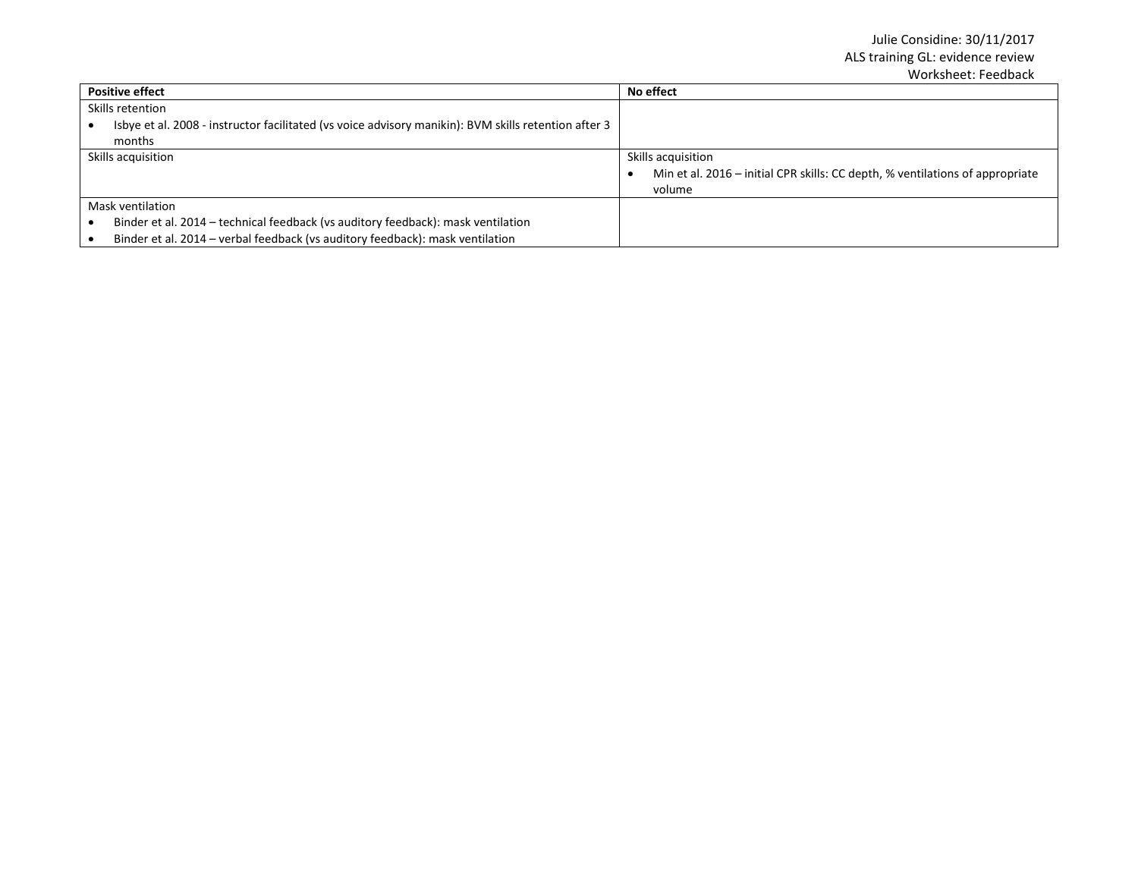| <b>Positive effect</b>                                                                               | No effect                                                                     |
|------------------------------------------------------------------------------------------------------|-------------------------------------------------------------------------------|
| Skills retention                                                                                     |                                                                               |
| Isbye et al. 2008 - instructor facilitated (vs voice advisory manikin): BVM skills retention after 3 |                                                                               |
| months                                                                                               |                                                                               |
| Skills acquisition                                                                                   | Skills acquisition                                                            |
|                                                                                                      | Min et al. 2016 – initial CPR skills: CC depth, % ventilations of appropriate |
|                                                                                                      | volume                                                                        |
| Mask ventilation                                                                                     |                                                                               |
| Binder et al. 2014 - technical feedback (vs auditory feedback): mask ventilation                     |                                                                               |
| Binder et al. 2014 - verbal feedback (vs auditory feedback): mask ventilation                        |                                                                               |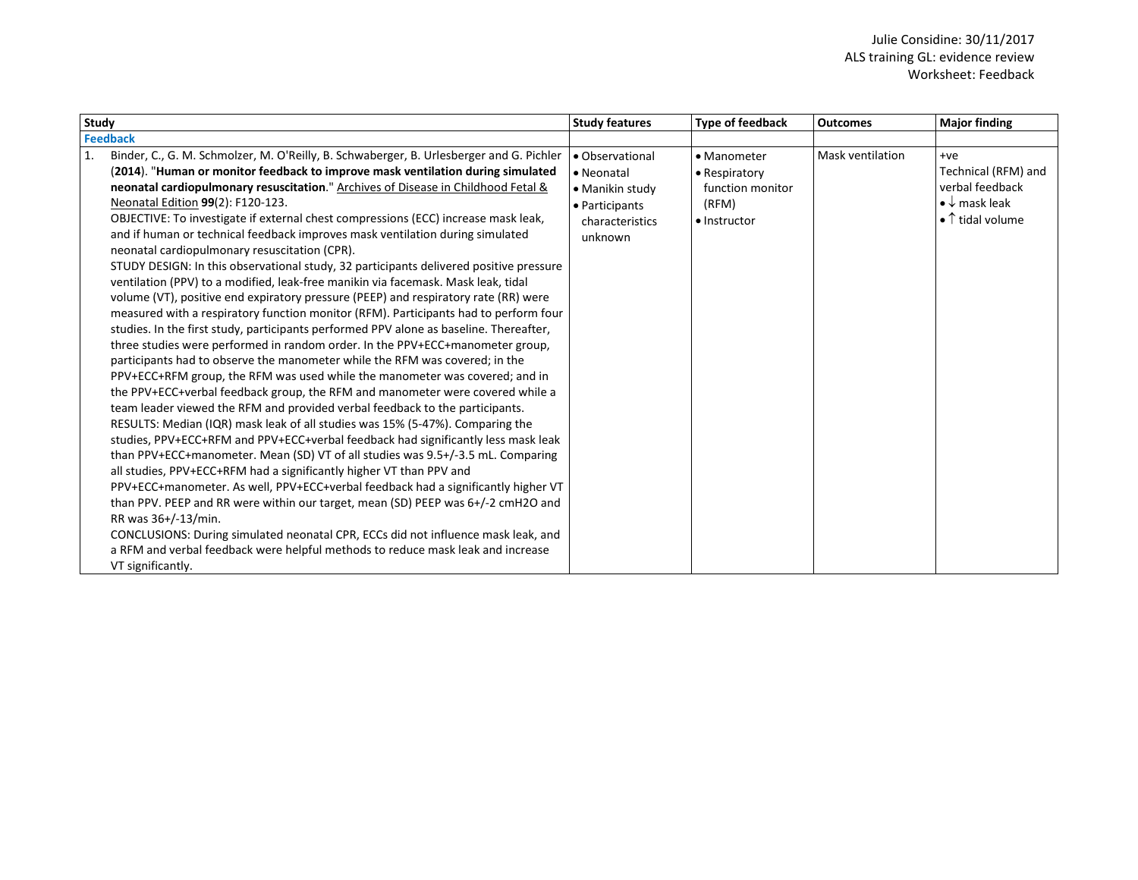| <b>Study</b>                                                                                                                                                                                                                                                                                                                                                                                                                                                                                                                                                                                                                                                                                                                                                                                                                                                                                                                                                                                                                                                                                                                                                                                                                                                                                                                                                                                                                                                                                                                                                                                                                                                                                                                                                                                                                                                                                                                                                                                                                                                                                                                            | <b>Study features</b>                                                                            | Type of feedback                                                                  | <b>Outcomes</b>  | <b>Major finding</b>                                                                                          |
|-----------------------------------------------------------------------------------------------------------------------------------------------------------------------------------------------------------------------------------------------------------------------------------------------------------------------------------------------------------------------------------------------------------------------------------------------------------------------------------------------------------------------------------------------------------------------------------------------------------------------------------------------------------------------------------------------------------------------------------------------------------------------------------------------------------------------------------------------------------------------------------------------------------------------------------------------------------------------------------------------------------------------------------------------------------------------------------------------------------------------------------------------------------------------------------------------------------------------------------------------------------------------------------------------------------------------------------------------------------------------------------------------------------------------------------------------------------------------------------------------------------------------------------------------------------------------------------------------------------------------------------------------------------------------------------------------------------------------------------------------------------------------------------------------------------------------------------------------------------------------------------------------------------------------------------------------------------------------------------------------------------------------------------------------------------------------------------------------------------------------------------------|--------------------------------------------------------------------------------------------------|-----------------------------------------------------------------------------------|------------------|---------------------------------------------------------------------------------------------------------------|
| <b>Feedback</b>                                                                                                                                                                                                                                                                                                                                                                                                                                                                                                                                                                                                                                                                                                                                                                                                                                                                                                                                                                                                                                                                                                                                                                                                                                                                                                                                                                                                                                                                                                                                                                                                                                                                                                                                                                                                                                                                                                                                                                                                                                                                                                                         |                                                                                                  |                                                                                   |                  |                                                                                                               |
| Binder, C., G. M. Schmolzer, M. O'Reilly, B. Schwaberger, B. Urlesberger and G. Pichler<br>1.<br>(2014). "Human or monitor feedback to improve mask ventilation during simulated<br>neonatal cardiopulmonary resuscitation." Archives of Disease in Childhood Fetal &<br>Neonatal Edition 99(2): F120-123.<br>OBJECTIVE: To investigate if external chest compressions (ECC) increase mask leak,<br>and if human or technical feedback improves mask ventilation during simulated<br>neonatal cardiopulmonary resuscitation (CPR).<br>STUDY DESIGN: In this observational study, 32 participants delivered positive pressure<br>ventilation (PPV) to a modified, leak-free manikin via facemask. Mask leak, tidal<br>volume (VT), positive end expiratory pressure (PEEP) and respiratory rate (RR) were<br>measured with a respiratory function monitor (RFM). Participants had to perform four<br>studies. In the first study, participants performed PPV alone as baseline. Thereafter,<br>three studies were performed in random order. In the PPV+ECC+manometer group,<br>participants had to observe the manometer while the RFM was covered; in the<br>PPV+ECC+RFM group, the RFM was used while the manometer was covered; and in<br>the PPV+ECC+verbal feedback group, the RFM and manometer were covered while a<br>team leader viewed the RFM and provided verbal feedback to the participants.<br>RESULTS: Median (IQR) mask leak of all studies was 15% (5-47%). Comparing the<br>studies, PPV+ECC+RFM and PPV+ECC+verbal feedback had significantly less mask leak<br>than PPV+ECC+manometer. Mean (SD) VT of all studies was 9.5+/-3.5 mL. Comparing<br>all studies, PPV+ECC+RFM had a significantly higher VT than PPV and<br>PPV+ECC+manometer. As well, PPV+ECC+verbal feedback had a significantly higher VT<br>than PPV. PEEP and RR were within our target, mean (SD) PEEP was 6+/-2 cmH2O and<br>RR was 36+/-13/min.<br>CONCLUSIONS: During simulated neonatal CPR, ECCs did not influence mask leak, and<br>a RFM and verbal feedback were helpful methods to reduce mask leak and increase<br>VT significantly. | • Observational<br>• Neonatal<br>• Manikin study<br>• Participants<br>characteristics<br>unknown | • Manometer<br>$\bullet$ Respiratory<br>function monitor<br>(RFM)<br>• Instructor | Mask ventilation | $+ve$<br>Technical (RFM) and<br>verbal feedback<br>$\bullet \downarrow$ mask leak<br>$\bullet$ 1 tidal volume |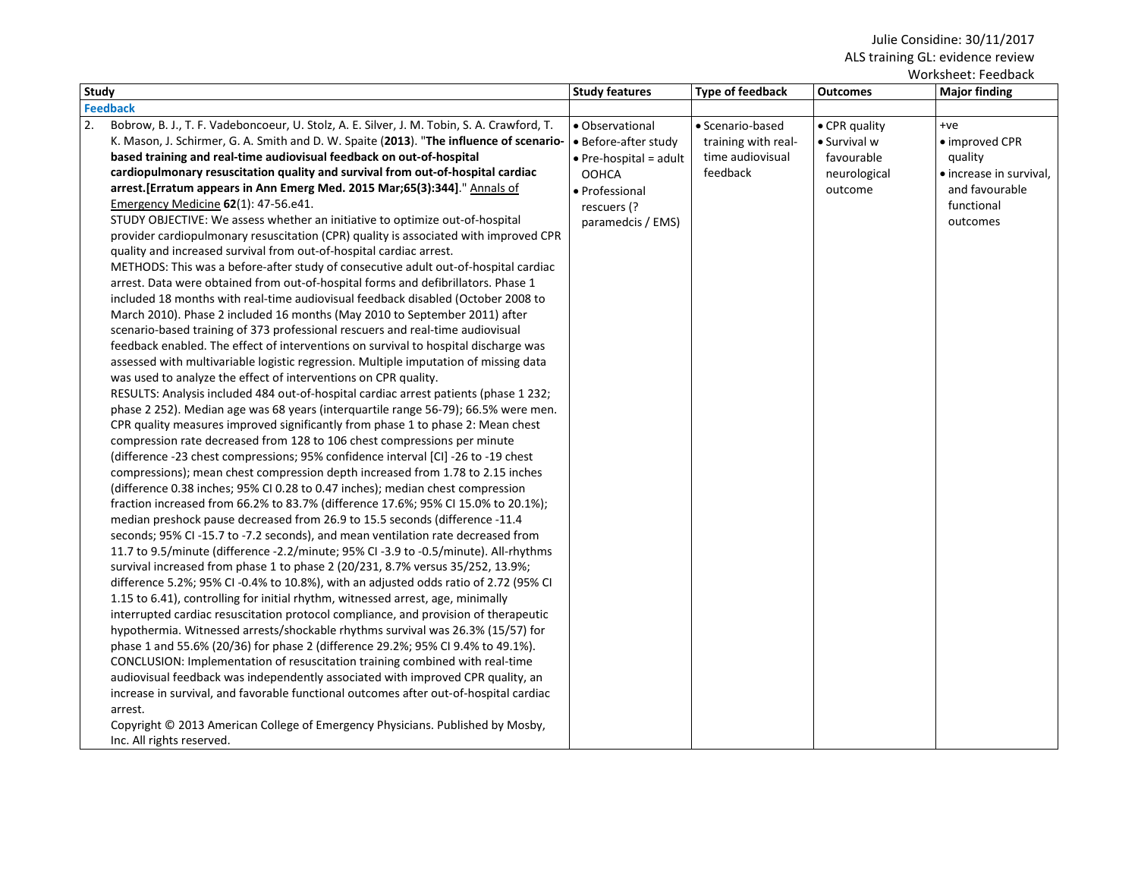| Worksheet: Feedback                                                                                                                                                                                                                                                                                                                                                                                                                                                                                                                                                                                                                                                                                                                                                                                                                                                                                                                                                                                                                                                                                                                                                                                                                                                                                                                                                                                                                                                                                                                                                                                                                                                                                                                                                                                                                                                                                                                                                                                                                                                                                                                                                                                                                                                                                                                                                                                                                                                                                                                                                                                                                                                                                                                                                                                                                                                                                                                                                                                                                                                                                                                                                |                                                                                                                                                 |                                                                         |                                                                        |                                                                                                           |  |
|--------------------------------------------------------------------------------------------------------------------------------------------------------------------------------------------------------------------------------------------------------------------------------------------------------------------------------------------------------------------------------------------------------------------------------------------------------------------------------------------------------------------------------------------------------------------------------------------------------------------------------------------------------------------------------------------------------------------------------------------------------------------------------------------------------------------------------------------------------------------------------------------------------------------------------------------------------------------------------------------------------------------------------------------------------------------------------------------------------------------------------------------------------------------------------------------------------------------------------------------------------------------------------------------------------------------------------------------------------------------------------------------------------------------------------------------------------------------------------------------------------------------------------------------------------------------------------------------------------------------------------------------------------------------------------------------------------------------------------------------------------------------------------------------------------------------------------------------------------------------------------------------------------------------------------------------------------------------------------------------------------------------------------------------------------------------------------------------------------------------------------------------------------------------------------------------------------------------------------------------------------------------------------------------------------------------------------------------------------------------------------------------------------------------------------------------------------------------------------------------------------------------------------------------------------------------------------------------------------------------------------------------------------------------------------------------------------------------------------------------------------------------------------------------------------------------------------------------------------------------------------------------------------------------------------------------------------------------------------------------------------------------------------------------------------------------------------------------------------------------------------------------------------------------|-------------------------------------------------------------------------------------------------------------------------------------------------|-------------------------------------------------------------------------|------------------------------------------------------------------------|-----------------------------------------------------------------------------------------------------------|--|
| <b>Study</b>                                                                                                                                                                                                                                                                                                                                                                                                                                                                                                                                                                                                                                                                                                                                                                                                                                                                                                                                                                                                                                                                                                                                                                                                                                                                                                                                                                                                                                                                                                                                                                                                                                                                                                                                                                                                                                                                                                                                                                                                                                                                                                                                                                                                                                                                                                                                                                                                                                                                                                                                                                                                                                                                                                                                                                                                                                                                                                                                                                                                                                                                                                                                                       | <b>Study features</b>                                                                                                                           | <b>Type of feedback</b>                                                 | <b>Outcomes</b>                                                        | <b>Major finding</b>                                                                                      |  |
| <b>Feedback</b>                                                                                                                                                                                                                                                                                                                                                                                                                                                                                                                                                                                                                                                                                                                                                                                                                                                                                                                                                                                                                                                                                                                                                                                                                                                                                                                                                                                                                                                                                                                                                                                                                                                                                                                                                                                                                                                                                                                                                                                                                                                                                                                                                                                                                                                                                                                                                                                                                                                                                                                                                                                                                                                                                                                                                                                                                                                                                                                                                                                                                                                                                                                                                    |                                                                                                                                                 |                                                                         |                                                                        |                                                                                                           |  |
| 2.<br>Bobrow, B. J., T. F. Vadeboncoeur, U. Stolz, A. E. Silver, J. M. Tobin, S. A. Crawford, T.<br>K. Mason, J. Schirmer, G. A. Smith and D. W. Spaite (2013). "The influence of scenario-<br>based training and real-time audiovisual feedback on out-of-hospital<br>cardiopulmonary resuscitation quality and survival from out-of-hospital cardiac<br>arrest. [Erratum appears in Ann Emerg Med. 2015 Mar;65(3):344]." Annals of<br>Emergency Medicine 62(1): 47-56.e41.<br>STUDY OBJECTIVE: We assess whether an initiative to optimize out-of-hospital<br>provider cardiopulmonary resuscitation (CPR) quality is associated with improved CPR<br>quality and increased survival from out-of-hospital cardiac arrest.<br>METHODS: This was a before-after study of consecutive adult out-of-hospital cardiac<br>arrest. Data were obtained from out-of-hospital forms and defibrillators. Phase 1<br>included 18 months with real-time audiovisual feedback disabled (October 2008 to<br>March 2010). Phase 2 included 16 months (May 2010 to September 2011) after<br>scenario-based training of 373 professional rescuers and real-time audiovisual<br>feedback enabled. The effect of interventions on survival to hospital discharge was<br>assessed with multivariable logistic regression. Multiple imputation of missing data<br>was used to analyze the effect of interventions on CPR quality.<br>RESULTS: Analysis included 484 out-of-hospital cardiac arrest patients (phase 1 232;<br>phase 2 252). Median age was 68 years (interquartile range 56-79); 66.5% were men.<br>CPR quality measures improved significantly from phase 1 to phase 2: Mean chest<br>compression rate decreased from 128 to 106 chest compressions per minute<br>(difference -23 chest compressions; 95% confidence interval [CI] -26 to -19 chest<br>compressions); mean chest compression depth increased from 1.78 to 2.15 inches<br>(difference 0.38 inches; 95% CI 0.28 to 0.47 inches); median chest compression<br>fraction increased from 66.2% to 83.7% (difference 17.6%; 95% CI 15.0% to 20.1%);<br>median preshock pause decreased from 26.9 to 15.5 seconds (difference -11.4<br>seconds; 95% CI-15.7 to -7.2 seconds), and mean ventilation rate decreased from<br>11.7 to 9.5/minute (difference -2.2/minute; 95% CI -3.9 to -0.5/minute). All-rhythms<br>survival increased from phase 1 to phase 2 (20/231, 8.7% versus 35/252, 13.9%;<br>difference 5.2%; 95% CI-0.4% to 10.8%), with an adjusted odds ratio of 2.72 (95% CI<br>1.15 to 6.41), controlling for initial rhythm, witnessed arrest, age, minimally<br>interrupted cardiac resuscitation protocol compliance, and provision of therapeutic<br>hypothermia. Witnessed arrests/shockable rhythms survival was 26.3% (15/57) for<br>phase 1 and 55.6% (20/36) for phase 2 (difference 29.2%; 95% CI 9.4% to 49.1%).<br>CONCLUSION: Implementation of resuscitation training combined with real-time<br>audiovisual feedback was independently associated with improved CPR quality, an<br>increase in survival, and favorable functional outcomes after out-of-hospital cardiac<br>arrest. | • Observational<br>• Before-after study<br>$\bullet$ Pre-hospital = adult<br><b>OOHCA</b><br>• Professional<br>rescuers (?<br>paramedcis / EMS) | • Scenario-based<br>training with real-<br>time audiovisual<br>feedback | • CPR quality<br>• Survival w<br>favourable<br>neurological<br>outcome | $+ve$<br>• improved CPR<br>quality<br>• increase in survival,<br>and favourable<br>functional<br>outcomes |  |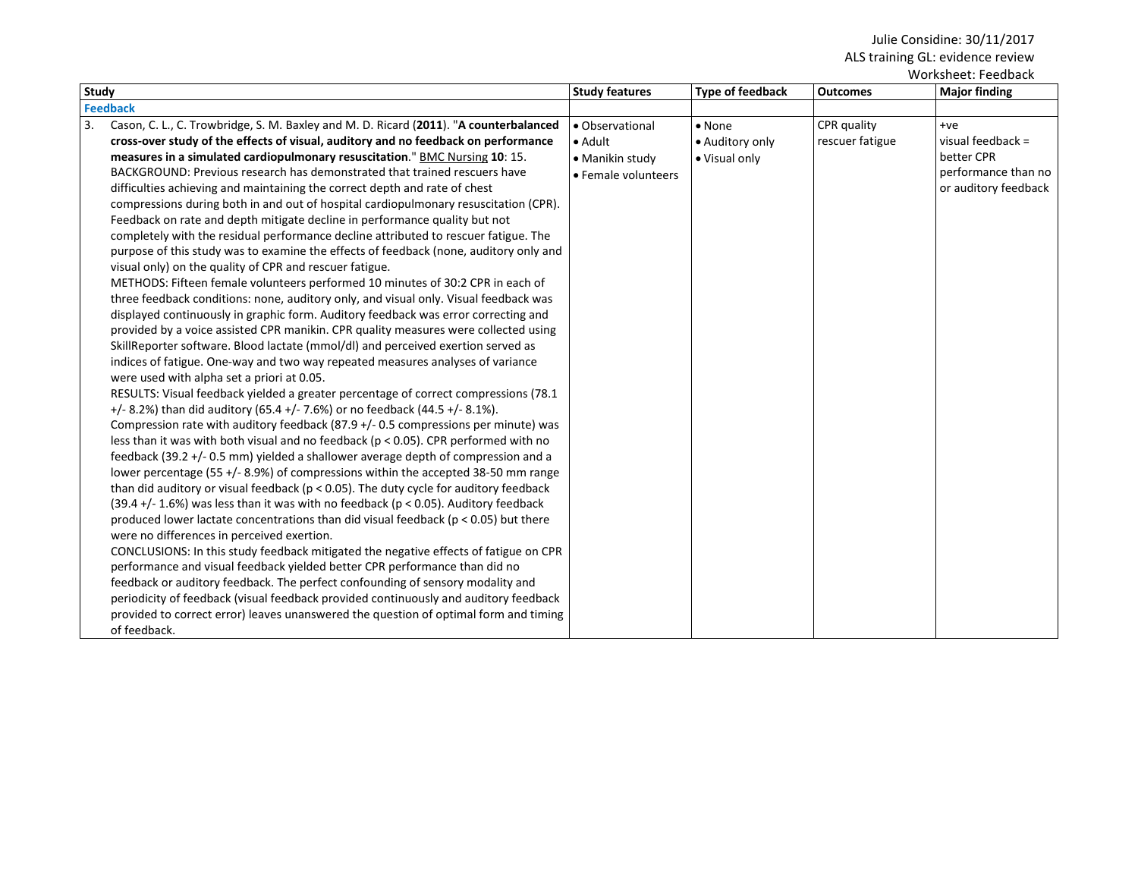|              |                                                                                           |                       |                  |                 | WUI NJIICCL. I CCUNALN |
|--------------|-------------------------------------------------------------------------------------------|-----------------------|------------------|-----------------|------------------------|
| <b>Study</b> |                                                                                           | <b>Study features</b> | Type of feedback | <b>Outcomes</b> | <b>Major finding</b>   |
|              | <b>Feedback</b>                                                                           |                       |                  |                 |                        |
| 3.           | Cason, C. L., C. Trowbridge, S. M. Baxley and M. D. Ricard (2011). "A counterbalanced     | • Observational       | $\bullet$ None   | CPR quality     | $+ve$                  |
|              | cross-over study of the effects of visual, auditory and no feedback on performance        | $\bullet$ Adult       | • Auditory only  | rescuer fatigue | visual feedback =      |
|              | measures in a simulated cardiopulmonary resuscitation." BMC Nursing 10: 15.               | • Manikin study       | • Visual only    |                 | better CPR             |
|              | BACKGROUND: Previous research has demonstrated that trained rescuers have                 | • Female volunteers   |                  |                 | performance than no    |
|              | difficulties achieving and maintaining the correct depth and rate of chest                |                       |                  |                 | or auditory feedback   |
|              | compressions during both in and out of hospital cardiopulmonary resuscitation (CPR).      |                       |                  |                 |                        |
|              | Feedback on rate and depth mitigate decline in performance quality but not                |                       |                  |                 |                        |
|              | completely with the residual performance decline attributed to rescuer fatigue. The       |                       |                  |                 |                        |
|              | purpose of this study was to examine the effects of feedback (none, auditory only and     |                       |                  |                 |                        |
|              | visual only) on the quality of CPR and rescuer fatigue.                                   |                       |                  |                 |                        |
|              | METHODS: Fifteen female volunteers performed 10 minutes of 30:2 CPR in each of            |                       |                  |                 |                        |
|              | three feedback conditions: none, auditory only, and visual only. Visual feedback was      |                       |                  |                 |                        |
|              | displayed continuously in graphic form. Auditory feedback was error correcting and        |                       |                  |                 |                        |
|              | provided by a voice assisted CPR manikin. CPR quality measures were collected using       |                       |                  |                 |                        |
|              | SkillReporter software. Blood lactate (mmol/dl) and perceived exertion served as          |                       |                  |                 |                        |
|              | indices of fatigue. One-way and two way repeated measures analyses of variance            |                       |                  |                 |                        |
|              | were used with alpha set a priori at 0.05.                                                |                       |                  |                 |                        |
|              | RESULTS: Visual feedback yielded a greater percentage of correct compressions (78.1       |                       |                  |                 |                        |
|              | $+/- 8.2\%$ ) than did auditory (65.4 +/- 7.6%) or no feedback (44.5 +/- 8.1%).           |                       |                  |                 |                        |
|              | Compression rate with auditory feedback (87.9 +/- 0.5 compressions per minute) was        |                       |                  |                 |                        |
|              | less than it was with both visual and no feedback ( $p < 0.05$ ). CPR performed with no   |                       |                  |                 |                        |
|              | feedback (39.2 +/- 0.5 mm) yielded a shallower average depth of compression and a         |                       |                  |                 |                        |
|              | lower percentage (55 +/- 8.9%) of compressions within the accepted 38-50 mm range         |                       |                  |                 |                        |
|              | than did auditory or visual feedback ( $p < 0.05$ ). The duty cycle for auditory feedback |                       |                  |                 |                        |
|              | (39.4 +/- 1.6%) was less than it was with no feedback ( $p < 0.05$ ). Auditory feedback   |                       |                  |                 |                        |
|              | produced lower lactate concentrations than did visual feedback ( $p < 0.05$ ) but there   |                       |                  |                 |                        |
|              | were no differences in perceived exertion.                                                |                       |                  |                 |                        |
|              | CONCLUSIONS: In this study feedback mitigated the negative effects of fatigue on CPR      |                       |                  |                 |                        |
|              | performance and visual feedback yielded better CPR performance than did no                |                       |                  |                 |                        |
|              | feedback or auditory feedback. The perfect confounding of sensory modality and            |                       |                  |                 |                        |
|              | periodicity of feedback (visual feedback provided continuously and auditory feedback      |                       |                  |                 |                        |
|              | provided to correct error) leaves unanswered the question of optimal form and timing      |                       |                  |                 |                        |
|              | of feedback.                                                                              |                       |                  |                 |                        |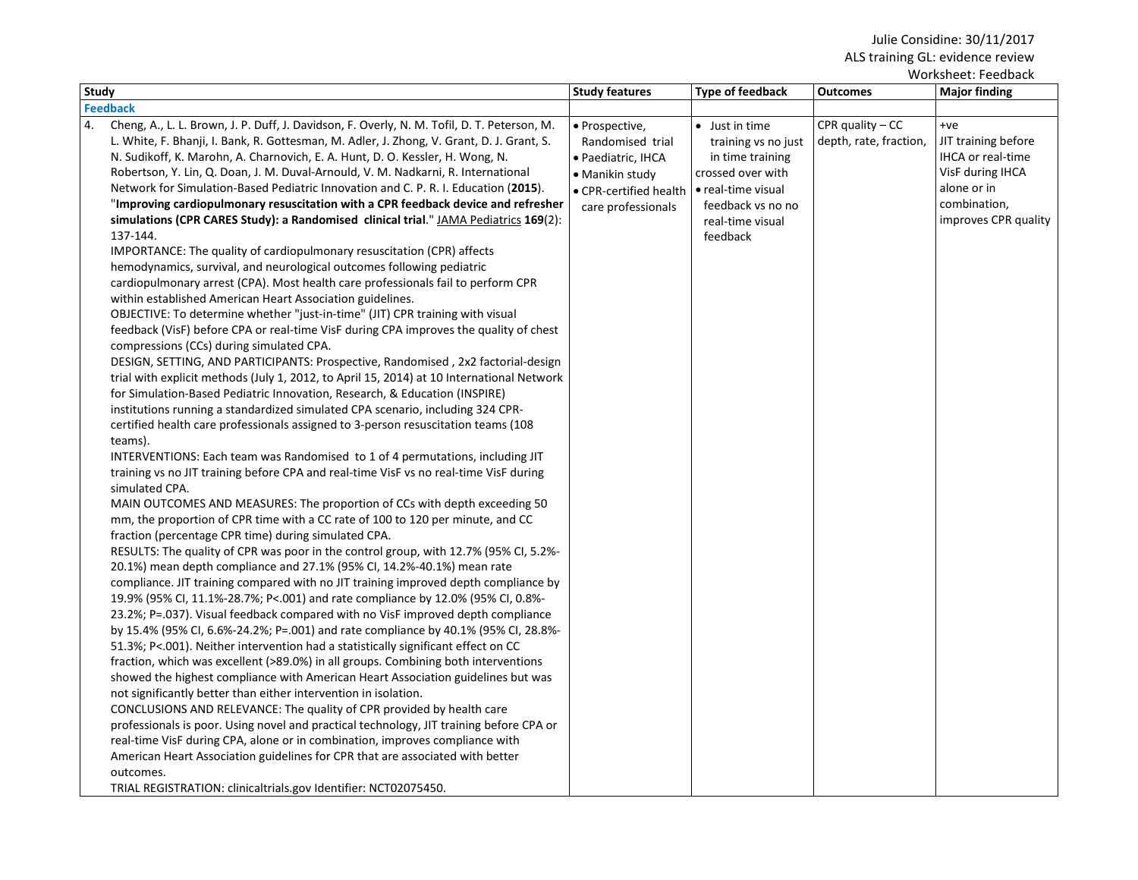| Study                                                                                                                                                                                                                                                                                                                                                                                                                                                                                                                                                                                                                                                                                                                                                                                                                                                                                                                                                                                                                                                                                                                                                                                                                                                                                                                                                                                                                                                                                                                                                                                                                                                                                                                                                                                                                                                                                                                                                                                                                                                                                                                                                                                                                                                                                                                                                                                                                                                                                                                                                                                                                                                                                                                                                                                                                                                                                                                                                                                                                                                                                                                                                                                                                                                                                                                                              | <b>Study features</b>                                                                                                       | <b>Type of feedback</b>                                                                                                                                   | <b>Outcomes</b>                             | WUI NSIIEEL. FEEUDALN<br><b>Major finding</b>                                                                                |
|----------------------------------------------------------------------------------------------------------------------------------------------------------------------------------------------------------------------------------------------------------------------------------------------------------------------------------------------------------------------------------------------------------------------------------------------------------------------------------------------------------------------------------------------------------------------------------------------------------------------------------------------------------------------------------------------------------------------------------------------------------------------------------------------------------------------------------------------------------------------------------------------------------------------------------------------------------------------------------------------------------------------------------------------------------------------------------------------------------------------------------------------------------------------------------------------------------------------------------------------------------------------------------------------------------------------------------------------------------------------------------------------------------------------------------------------------------------------------------------------------------------------------------------------------------------------------------------------------------------------------------------------------------------------------------------------------------------------------------------------------------------------------------------------------------------------------------------------------------------------------------------------------------------------------------------------------------------------------------------------------------------------------------------------------------------------------------------------------------------------------------------------------------------------------------------------------------------------------------------------------------------------------------------------------------------------------------------------------------------------------------------------------------------------------------------------------------------------------------------------------------------------------------------------------------------------------------------------------------------------------------------------------------------------------------------------------------------------------------------------------------------------------------------------------------------------------------------------------------------------------------------------------------------------------------------------------------------------------------------------------------------------------------------------------------------------------------------------------------------------------------------------------------------------------------------------------------------------------------------------------------------------------------------------------------------------------------------------------|-----------------------------------------------------------------------------------------------------------------------------|-----------------------------------------------------------------------------------------------------------------------------------------------------------|---------------------------------------------|------------------------------------------------------------------------------------------------------------------------------|
|                                                                                                                                                                                                                                                                                                                                                                                                                                                                                                                                                                                                                                                                                                                                                                                                                                                                                                                                                                                                                                                                                                                                                                                                                                                                                                                                                                                                                                                                                                                                                                                                                                                                                                                                                                                                                                                                                                                                                                                                                                                                                                                                                                                                                                                                                                                                                                                                                                                                                                                                                                                                                                                                                                                                                                                                                                                                                                                                                                                                                                                                                                                                                                                                                                                                                                                                                    |                                                                                                                             |                                                                                                                                                           |                                             |                                                                                                                              |
| <b>Feedback</b><br>Cheng, A., L. L. Brown, J. P. Duff, J. Davidson, F. Overly, N. M. Tofil, D. T. Peterson, M.<br>4.<br>L. White, F. Bhanji, I. Bank, R. Gottesman, M. Adler, J. Zhong, V. Grant, D. J. Grant, S.<br>N. Sudikoff, K. Marohn, A. Charnovich, E. A. Hunt, D. O. Kessler, H. Wong, N.<br>Robertson, Y. Lin, Q. Doan, J. M. Duval-Arnould, V. M. Nadkarni, R. International<br>Network for Simulation-Based Pediatric Innovation and C. P. R. I. Education (2015).<br>"Improving cardiopulmonary resuscitation with a CPR feedback device and refresher<br>simulations (CPR CARES Study): a Randomised clinical trial." JAMA Pediatrics 169(2):<br>137-144.<br>IMPORTANCE: The quality of cardiopulmonary resuscitation (CPR) affects<br>hemodynamics, survival, and neurological outcomes following pediatric<br>cardiopulmonary arrest (CPA). Most health care professionals fail to perform CPR<br>within established American Heart Association guidelines.<br>OBJECTIVE: To determine whether "just-in-time" (JIT) CPR training with visual<br>feedback (VisF) before CPA or real-time VisF during CPA improves the quality of chest<br>compressions (CCs) during simulated CPA.<br>DESIGN, SETTING, AND PARTICIPANTS: Prospective, Randomised, 2x2 factorial-design<br>trial with explicit methods (July 1, 2012, to April 15, 2014) at 10 International Network<br>for Simulation-Based Pediatric Innovation, Research, & Education (INSPIRE)<br>institutions running a standardized simulated CPA scenario, including 324 CPR-<br>certified health care professionals assigned to 3-person resuscitation teams (108)<br>teams).<br>INTERVENTIONS: Each team was Randomised to 1 of 4 permutations, including JIT<br>training vs no JIT training before CPA and real-time VisF vs no real-time VisF during<br>simulated CPA.<br>MAIN OUTCOMES AND MEASURES: The proportion of CCs with depth exceeding 50<br>mm, the proportion of CPR time with a CC rate of 100 to 120 per minute, and CC<br>fraction (percentage CPR time) during simulated CPA.<br>RESULTS: The quality of CPR was poor in the control group, with 12.7% (95% CI, 5.2%-<br>20.1%) mean depth compliance and 27.1% (95% CI, 14.2%-40.1%) mean rate<br>compliance. JIT training compared with no JIT training improved depth compliance by<br>19.9% (95% CI, 11.1%-28.7%; P<.001) and rate compliance by 12.0% (95% CI, 0.8%-<br>23.2%; P=.037). Visual feedback compared with no VisF improved depth compliance<br>by 15.4% (95% CI, 6.6%-24.2%; P=.001) and rate compliance by 40.1% (95% CI, 28.8%-<br>51.3%; P<.001). Neither intervention had a statistically significant effect on CC<br>fraction, which was excellent (>89.0%) in all groups. Combining both interventions<br>showed the highest compliance with American Heart Association guidelines but was<br>not significantly better than either intervention in isolation.<br>CONCLUSIONS AND RELEVANCE: The quality of CPR provided by health care<br>professionals is poor. Using novel and practical technology, JIT training before CPA or<br>real-time VisF during CPA, alone or in combination, improves compliance with<br>American Heart Association guidelines for CPR that are associated with better<br>outcomes.<br>TRIAL REGISTRATION: clinicaltrials.gov Identifier: NCT02075450. | • Prospective,<br>Randomised trial<br>• Paediatric, IHCA<br>• Manikin study<br>• CPR-certified health<br>care professionals | • Just in time<br>training vs no just<br>in time training<br>crossed over with<br>• real-time visual<br>feedback vs no no<br>real-time visual<br>feedback | CPR quality $-CC$<br>depth, rate, fraction, | $+ve$<br>JIT training before<br>IHCA or real-time<br>VisF during IHCA<br>alone or in<br>combination,<br>improves CPR quality |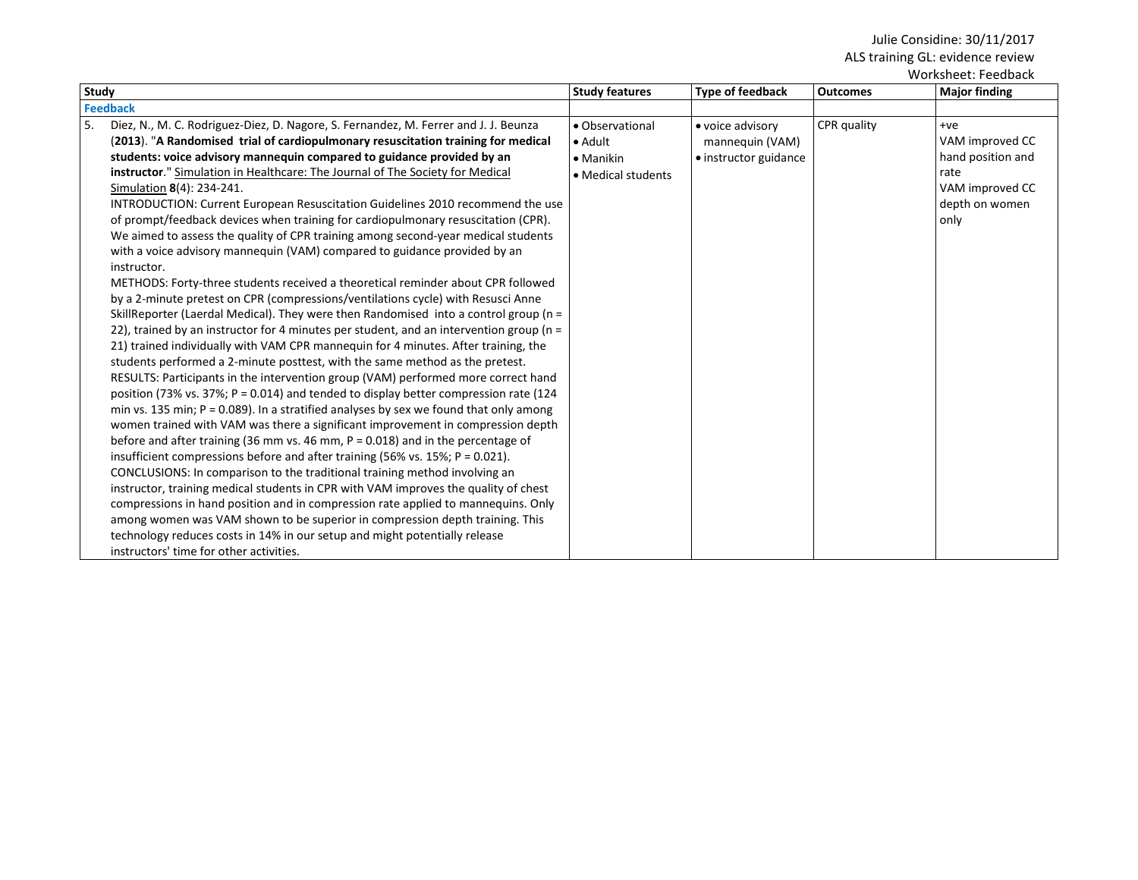| Study                                                                                                                                                                                                                                                                                                                                                                                                                                                                                                                                                                                                                                                                                                                                                                                                                                                                                                                                                                                                                                                                                                                                                                                                                                                                                                                                                                                                                                                                                                                                                                                                                                                                                                                                                                                                                                                                                                                                                                                                                                                                                                                                                                                                                                                                              | <b>Study features</b>                                                         | <b>Type of feedback</b>                                      | <b>Outcomes</b> | WUI NJIICCL. I CCUDALN<br><b>Major finding</b>                                                     |
|------------------------------------------------------------------------------------------------------------------------------------------------------------------------------------------------------------------------------------------------------------------------------------------------------------------------------------------------------------------------------------------------------------------------------------------------------------------------------------------------------------------------------------------------------------------------------------------------------------------------------------------------------------------------------------------------------------------------------------------------------------------------------------------------------------------------------------------------------------------------------------------------------------------------------------------------------------------------------------------------------------------------------------------------------------------------------------------------------------------------------------------------------------------------------------------------------------------------------------------------------------------------------------------------------------------------------------------------------------------------------------------------------------------------------------------------------------------------------------------------------------------------------------------------------------------------------------------------------------------------------------------------------------------------------------------------------------------------------------------------------------------------------------------------------------------------------------------------------------------------------------------------------------------------------------------------------------------------------------------------------------------------------------------------------------------------------------------------------------------------------------------------------------------------------------------------------------------------------------------------------------------------------------|-------------------------------------------------------------------------------|--------------------------------------------------------------|-----------------|----------------------------------------------------------------------------------------------------|
| <b>Feedback</b>                                                                                                                                                                                                                                                                                                                                                                                                                                                                                                                                                                                                                                                                                                                                                                                                                                                                                                                                                                                                                                                                                                                                                                                                                                                                                                                                                                                                                                                                                                                                                                                                                                                                                                                                                                                                                                                                                                                                                                                                                                                                                                                                                                                                                                                                    |                                                                               |                                                              |                 |                                                                                                    |
| 5.<br>Diez, N., M. C. Rodriguez-Diez, D. Nagore, S. Fernandez, M. Ferrer and J. J. Beunza<br>(2013). "A Randomised trial of cardiopulmonary resuscitation training for medical<br>students: voice advisory mannequin compared to guidance provided by an<br>instructor." Simulation in Healthcare: The Journal of The Society for Medical<br>Simulation 8(4): 234-241.<br><b>INTRODUCTION: Current European Resuscitation Guidelines 2010 recommend the use</b><br>of prompt/feedback devices when training for cardiopulmonary resuscitation (CPR).<br>We aimed to assess the quality of CPR training among second-year medical students<br>with a voice advisory mannequin (VAM) compared to guidance provided by an<br>instructor.<br>METHODS: Forty-three students received a theoretical reminder about CPR followed<br>by a 2-minute pretest on CPR (compressions/ventilations cycle) with Resusci Anne<br>SkillReporter (Laerdal Medical). They were then Randomised into a control group ( $n =$<br>22), trained by an instructor for 4 minutes per student, and an intervention group ( $n =$<br>21) trained individually with VAM CPR mannequin for 4 minutes. After training, the<br>students performed a 2-minute posttest, with the same method as the pretest.<br>RESULTS: Participants in the intervention group (VAM) performed more correct hand<br>position (73% vs. 37%; P = 0.014) and tended to display better compression rate (124<br>min vs. 135 min; $P = 0.089$ ). In a stratified analyses by sex we found that only among<br>women trained with VAM was there a significant improvement in compression depth<br>before and after training (36 mm vs. 46 mm, $P = 0.018$ ) and in the percentage of<br>insufficient compressions before and after training (56% vs. 15%; P = 0.021).<br>CONCLUSIONS: In comparison to the traditional training method involving an<br>instructor, training medical students in CPR with VAM improves the quality of chest<br>compressions in hand position and in compression rate applied to mannequins. Only<br>among women was VAM shown to be superior in compression depth training. This<br>technology reduces costs in 14% in our setup and might potentially release<br>instructors' time for other activities. | • Observational<br>$\bullet$ Adult<br>$\bullet$ Manikin<br>• Medical students | • voice advisory<br>mannequin (VAM)<br>• instructor guidance | CPR quality     | $+ve$<br>VAM improved CC<br>hand position and<br>rate<br>VAM improved CC<br>depth on women<br>only |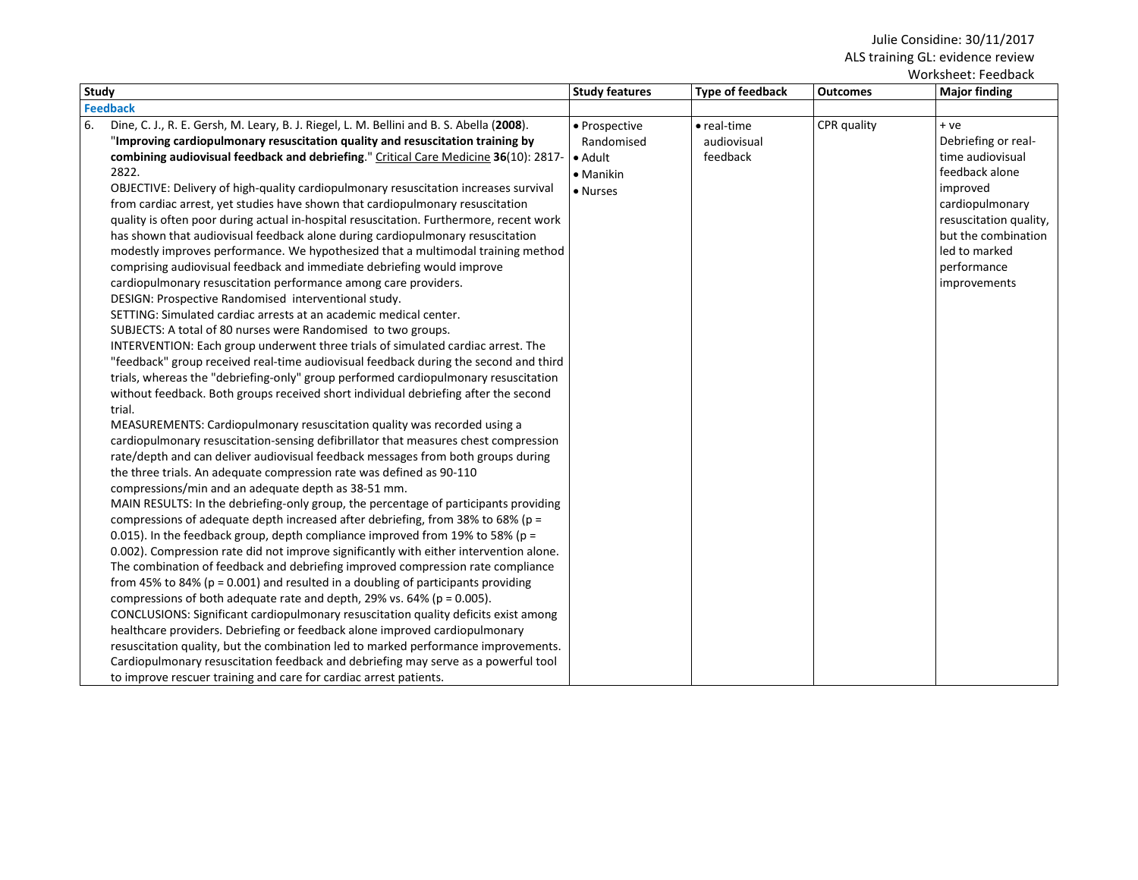| <b>Type of feedback</b><br><b>Outcomes</b> |                     |                                                                                                                                                                                                   |
|--------------------------------------------|---------------------|---------------------------------------------------------------------------------------------------------------------------------------------------------------------------------------------------|
|                                            |                     | <b>Major finding</b>                                                                                                                                                                              |
|                                            |                     |                                                                                                                                                                                                   |
| CPR quality<br>audiovisual<br>feedback     | $\bullet$ real-time | + ve<br>Debriefing or real-<br>time audiovisual<br>feedback alone<br>improved<br>cardiopulmonary<br>resuscitation quality,<br>but the combination<br>led to marked<br>performance<br>improvements |
|                                            |                     |                                                                                                                                                                                                   |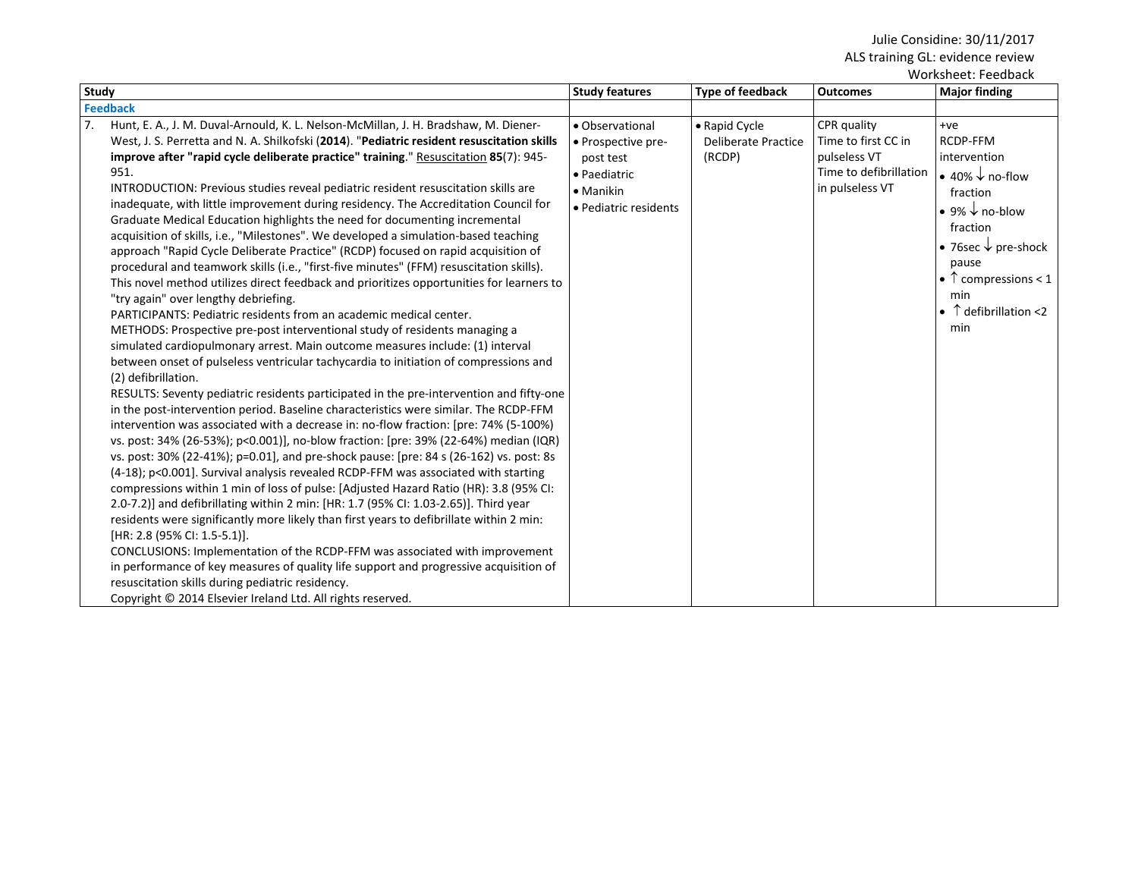| Worksheet: Feedback                                                                                                                                                                                                                                                                                                                                                                                                                                                                                                                                                                                                                                                                                                                                                                                                                                                                                                                                                                                                                                                                                                                                                                                                                                                                                                                                                                                                                                                                                                                                                                                                                                                                                                                                                                                                                                                                                                                                                                                                                                                                                                                                                                                                                                                                                                                                                                                                                                                                    |                                                                                                                  |                                                |                                                                                                 |                                                                                                                                                                                                                                                                          |
|----------------------------------------------------------------------------------------------------------------------------------------------------------------------------------------------------------------------------------------------------------------------------------------------------------------------------------------------------------------------------------------------------------------------------------------------------------------------------------------------------------------------------------------------------------------------------------------------------------------------------------------------------------------------------------------------------------------------------------------------------------------------------------------------------------------------------------------------------------------------------------------------------------------------------------------------------------------------------------------------------------------------------------------------------------------------------------------------------------------------------------------------------------------------------------------------------------------------------------------------------------------------------------------------------------------------------------------------------------------------------------------------------------------------------------------------------------------------------------------------------------------------------------------------------------------------------------------------------------------------------------------------------------------------------------------------------------------------------------------------------------------------------------------------------------------------------------------------------------------------------------------------------------------------------------------------------------------------------------------------------------------------------------------------------------------------------------------------------------------------------------------------------------------------------------------------------------------------------------------------------------------------------------------------------------------------------------------------------------------------------------------------------------------------------------------------------------------------------------------|------------------------------------------------------------------------------------------------------------------|------------------------------------------------|-------------------------------------------------------------------------------------------------|--------------------------------------------------------------------------------------------------------------------------------------------------------------------------------------------------------------------------------------------------------------------------|
| <b>Study</b>                                                                                                                                                                                                                                                                                                                                                                                                                                                                                                                                                                                                                                                                                                                                                                                                                                                                                                                                                                                                                                                                                                                                                                                                                                                                                                                                                                                                                                                                                                                                                                                                                                                                                                                                                                                                                                                                                                                                                                                                                                                                                                                                                                                                                                                                                                                                                                                                                                                                           | <b>Study features</b>                                                                                            | Type of feedback                               | <b>Outcomes</b>                                                                                 | <b>Major finding</b>                                                                                                                                                                                                                                                     |
| <b>Feedback</b>                                                                                                                                                                                                                                                                                                                                                                                                                                                                                                                                                                                                                                                                                                                                                                                                                                                                                                                                                                                                                                                                                                                                                                                                                                                                                                                                                                                                                                                                                                                                                                                                                                                                                                                                                                                                                                                                                                                                                                                                                                                                                                                                                                                                                                                                                                                                                                                                                                                                        |                                                                                                                  |                                                |                                                                                                 |                                                                                                                                                                                                                                                                          |
| 7 <sub>1</sub><br>Hunt, E. A., J. M. Duval-Arnould, K. L. Nelson-McMillan, J. H. Bradshaw, M. Diener-<br>West, J. S. Perretta and N. A. Shilkofski (2014). "Pediatric resident resuscitation skills<br>improve after "rapid cycle deliberate practice" training." Resuscitation 85(7): 945-<br>951.<br>INTRODUCTION: Previous studies reveal pediatric resident resuscitation skills are<br>inadequate, with little improvement during residency. The Accreditation Council for<br>Graduate Medical Education highlights the need for documenting incremental<br>acquisition of skills, i.e., "Milestones". We developed a simulation-based teaching<br>approach "Rapid Cycle Deliberate Practice" (RCDP) focused on rapid acquisition of<br>procedural and teamwork skills (i.e., "first-five minutes" (FFM) resuscitation skills).<br>This novel method utilizes direct feedback and prioritizes opportunities for learners to<br>"try again" over lengthy debriefing.<br>PARTICIPANTS: Pediatric residents from an academic medical center.<br>METHODS: Prospective pre-post interventional study of residents managing a<br>simulated cardiopulmonary arrest. Main outcome measures include: (1) interval<br>between onset of pulseless ventricular tachycardia to initiation of compressions and<br>(2) defibrillation.<br>RESULTS: Seventy pediatric residents participated in the pre-intervention and fifty-one<br>in the post-intervention period. Baseline characteristics were similar. The RCDP-FFM<br>intervention was associated with a decrease in: no-flow fraction: [pre: 74% (5-100%)<br>vs. post: 34% (26-53%); p<0.001)], no-blow fraction: [pre: 39% (22-64%) median (IQR)<br>vs. post: 30% (22-41%); p=0.01], and pre-shock pause: [pre: 84 s (26-162) vs. post: 8s<br>(4-18); p<0.001]. Survival analysis revealed RCDP-FFM was associated with starting<br>compressions within 1 min of loss of pulse: [Adjusted Hazard Ratio (HR): 3.8 (95% CI:<br>2.0-7.2)] and defibrillating within 2 min: [HR: 1.7 (95% CI: 1.03-2.65)]. Third year<br>residents were significantly more likely than first years to defibrillate within 2 min:<br>[HR: 2.8 (95% CI: 1.5-5.1)].<br>CONCLUSIONS: Implementation of the RCDP-FFM was associated with improvement<br>in performance of key measures of quality life support and progressive acquisition of<br>resuscitation skills during pediatric residency.<br>Copyright © 2014 Elsevier Ireland Ltd. All rights reserved. | • Observational<br>• Prospective pre-<br>post test<br>• Paediatric<br>$\bullet$ Manikin<br>· Pediatric residents | • Rapid Cycle<br>Deliberate Practice<br>(RCDP) | CPR quality<br>Time to first CC in<br>pulseless VT<br>Time to defibrillation<br>in pulseless VT | $+ve$<br>RCDP-FFM<br>intervention<br>$\bullet$ 40% $\downarrow$ no-flow<br>fraction<br>$\bullet$ 9% $\downarrow$ no-blow<br>fraction<br>• 76sec $\downarrow$ pre-shock<br>pause<br>• $\uparrow$ compressions < 1<br>min<br>$\bullet$ $\uparrow$ defibrillation <2<br>min |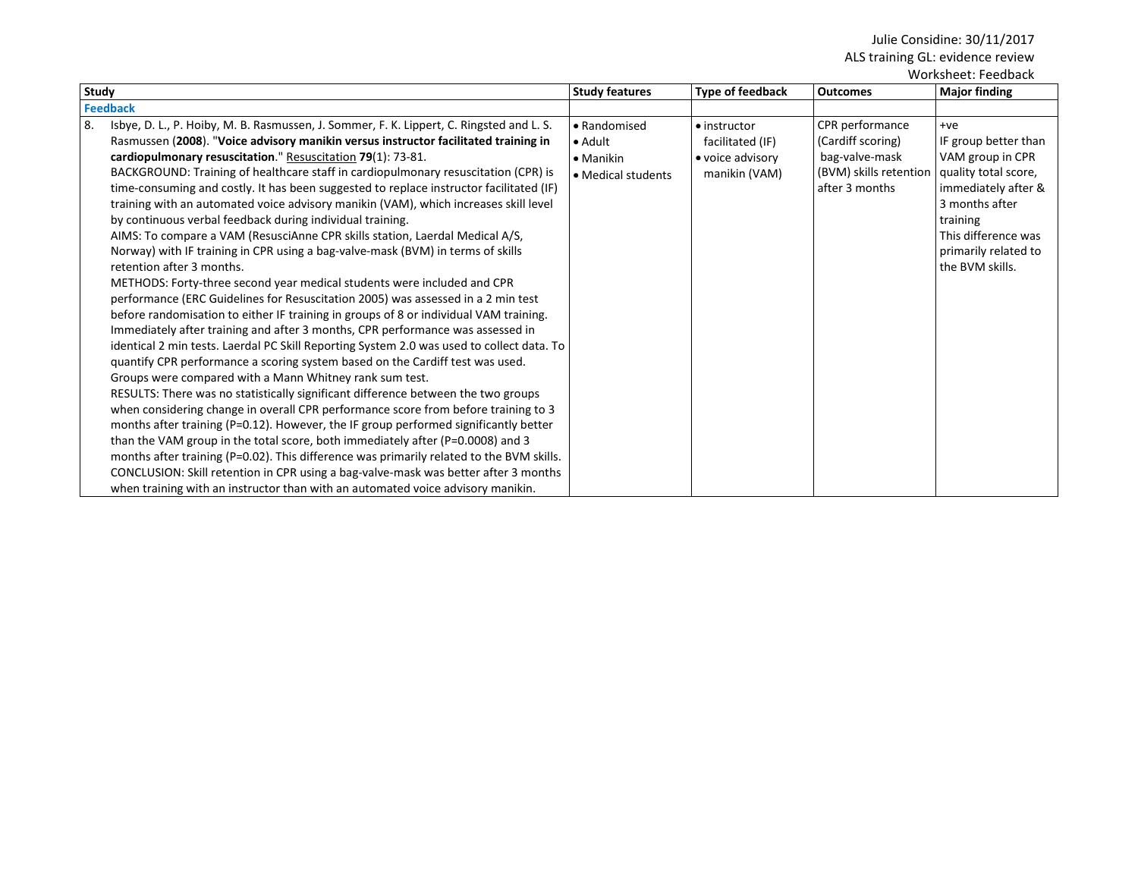|                                                                                                                                                                                                                                                                                                                                                                                                                                                                                                                                                                                                                                                                                                                                                                                                                                                                                                                                                                                                                                                                                                                                                                                                                                                                                                                                                                                                                                                                                                                                                                                                                                                                                                                                                                                                                                                                                                                                                                                                          |                                                                            |                                                                               |                                                                                                    | Worksheet: Feedback                                                                                                                                                                              |
|----------------------------------------------------------------------------------------------------------------------------------------------------------------------------------------------------------------------------------------------------------------------------------------------------------------------------------------------------------------------------------------------------------------------------------------------------------------------------------------------------------------------------------------------------------------------------------------------------------------------------------------------------------------------------------------------------------------------------------------------------------------------------------------------------------------------------------------------------------------------------------------------------------------------------------------------------------------------------------------------------------------------------------------------------------------------------------------------------------------------------------------------------------------------------------------------------------------------------------------------------------------------------------------------------------------------------------------------------------------------------------------------------------------------------------------------------------------------------------------------------------------------------------------------------------------------------------------------------------------------------------------------------------------------------------------------------------------------------------------------------------------------------------------------------------------------------------------------------------------------------------------------------------------------------------------------------------------------------------------------------------|----------------------------------------------------------------------------|-------------------------------------------------------------------------------|----------------------------------------------------------------------------------------------------|--------------------------------------------------------------------------------------------------------------------------------------------------------------------------------------------------|
| Study                                                                                                                                                                                                                                                                                                                                                                                                                                                                                                                                                                                                                                                                                                                                                                                                                                                                                                                                                                                                                                                                                                                                                                                                                                                                                                                                                                                                                                                                                                                                                                                                                                                                                                                                                                                                                                                                                                                                                                                                    | <b>Study features</b>                                                      | <b>Type of feedback</b>                                                       | <b>Outcomes</b>                                                                                    | <b>Major finding</b>                                                                                                                                                                             |
| <b>Feedback</b>                                                                                                                                                                                                                                                                                                                                                                                                                                                                                                                                                                                                                                                                                                                                                                                                                                                                                                                                                                                                                                                                                                                                                                                                                                                                                                                                                                                                                                                                                                                                                                                                                                                                                                                                                                                                                                                                                                                                                                                          |                                                                            |                                                                               |                                                                                                    |                                                                                                                                                                                                  |
| 8.<br>Isbye, D. L., P. Hoiby, M. B. Rasmussen, J. Sommer, F. K. Lippert, C. Ringsted and L. S.<br>Rasmussen (2008). "Voice advisory manikin versus instructor facilitated training in<br>cardiopulmonary resuscitation." Resuscitation 79(1): 73-81.<br>BACKGROUND: Training of healthcare staff in cardiopulmonary resuscitation (CPR) is<br>time-consuming and costly. It has been suggested to replace instructor facilitated (IF)<br>training with an automated voice advisory manikin (VAM), which increases skill level<br>by continuous verbal feedback during individual training.<br>AIMS: To compare a VAM (ResusciAnne CPR skills station, Laerdal Medical A/S,<br>Norway) with IF training in CPR using a bag-valve-mask (BVM) in terms of skills<br>retention after 3 months.<br>METHODS: Forty-three second year medical students were included and CPR<br>performance (ERC Guidelines for Resuscitation 2005) was assessed in a 2 min test<br>before randomisation to either IF training in groups of 8 or individual VAM training.<br>Immediately after training and after 3 months, CPR performance was assessed in<br>identical 2 min tests. Laerdal PC Skill Reporting System 2.0 was used to collect data. To<br>quantify CPR performance a scoring system based on the Cardiff test was used.<br>Groups were compared with a Mann Whitney rank sum test.<br>RESULTS: There was no statistically significant difference between the two groups<br>when considering change in overall CPR performance score from before training to 3<br>months after training (P=0.12). However, the IF group performed significantly better<br>than the VAM group in the total score, both immediately after (P=0.0008) and 3<br>months after training (P=0.02). This difference was primarily related to the BVM skills.<br>CONCLUSION: Skill retention in CPR using a bag-valve-mask was better after 3 months<br>when training with an instructor than with an automated voice advisory manikin. | • Randomised<br>$\bullet$ Adult<br>$\bullet$ Manikin<br>• Medical students | $\bullet$ instructor<br>facilitated (IF)<br>• voice advisory<br>manikin (VAM) | CPR performance<br>(Cardiff scoring)<br>bag-valve-mask<br>(BVM) skills retention<br>after 3 months | $+ve$<br>IF group better than<br>VAM group in CPR<br>quality total score,<br>immediately after &<br>3 months after<br>training<br>This difference was<br>primarily related to<br>the BVM skills. |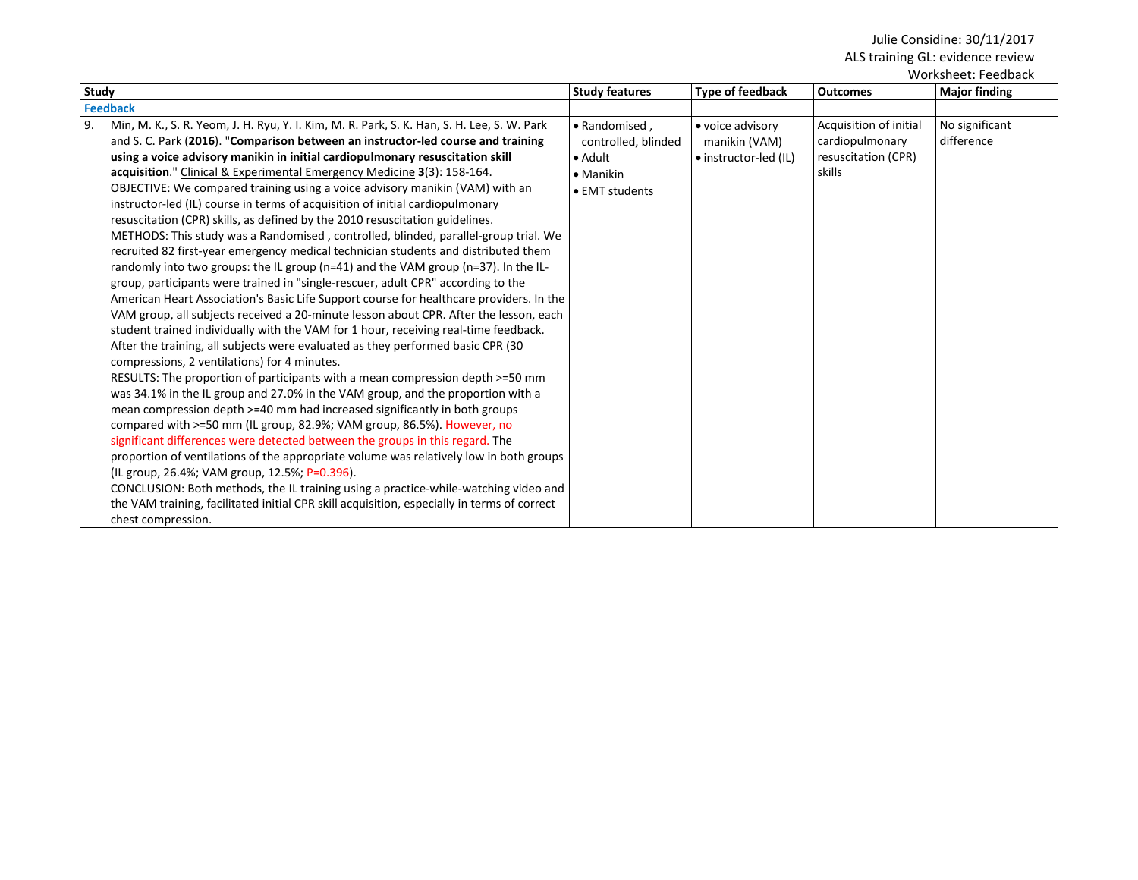| Worksheet: Feedback                                                                                                                                                                                                                                                                                                                                                                                                                                                                                                                                                                                                                                                                                                                                                                                                                                                                                                                                                                                                                                                                                                                                                                                                                                                                                                                                                                                                                                                                                                                                                                                                                                                                                                                                                                                                                                                                                                                                                                                                                                                                                                                               |                                                                                                |                                                            |                                                                            |                              |
|---------------------------------------------------------------------------------------------------------------------------------------------------------------------------------------------------------------------------------------------------------------------------------------------------------------------------------------------------------------------------------------------------------------------------------------------------------------------------------------------------------------------------------------------------------------------------------------------------------------------------------------------------------------------------------------------------------------------------------------------------------------------------------------------------------------------------------------------------------------------------------------------------------------------------------------------------------------------------------------------------------------------------------------------------------------------------------------------------------------------------------------------------------------------------------------------------------------------------------------------------------------------------------------------------------------------------------------------------------------------------------------------------------------------------------------------------------------------------------------------------------------------------------------------------------------------------------------------------------------------------------------------------------------------------------------------------------------------------------------------------------------------------------------------------------------------------------------------------------------------------------------------------------------------------------------------------------------------------------------------------------------------------------------------------------------------------------------------------------------------------------------------------|------------------------------------------------------------------------------------------------|------------------------------------------------------------|----------------------------------------------------------------------------|------------------------------|
| <b>Study</b>                                                                                                                                                                                                                                                                                                                                                                                                                                                                                                                                                                                                                                                                                                                                                                                                                                                                                                                                                                                                                                                                                                                                                                                                                                                                                                                                                                                                                                                                                                                                                                                                                                                                                                                                                                                                                                                                                                                                                                                                                                                                                                                                      | <b>Study features</b>                                                                          | Type of feedback                                           | <b>Outcomes</b>                                                            | <b>Major finding</b>         |
| <b>Feedback</b>                                                                                                                                                                                                                                                                                                                                                                                                                                                                                                                                                                                                                                                                                                                                                                                                                                                                                                                                                                                                                                                                                                                                                                                                                                                                                                                                                                                                                                                                                                                                                                                                                                                                                                                                                                                                                                                                                                                                                                                                                                                                                                                                   |                                                                                                |                                                            |                                                                            |                              |
| 9.<br>Min, M. K., S. R. Yeom, J. H. Ryu, Y. I. Kim, M. R. Park, S. K. Han, S. H. Lee, S. W. Park<br>and S. C. Park (2016). "Comparison between an instructor-led course and training<br>using a voice advisory manikin in initial cardiopulmonary resuscitation skill<br>acquisition." Clinical & Experimental Emergency Medicine 3(3): 158-164.<br>OBJECTIVE: We compared training using a voice advisory manikin (VAM) with an<br>instructor-led (IL) course in terms of acquisition of initial cardiopulmonary<br>resuscitation (CPR) skills, as defined by the 2010 resuscitation guidelines.<br>METHODS: This study was a Randomised, controlled, blinded, parallel-group trial. We<br>recruited 82 first-year emergency medical technician students and distributed them<br>randomly into two groups: the IL group ( $n=41$ ) and the VAM group ( $n=37$ ). In the IL-<br>group, participants were trained in "single-rescuer, adult CPR" according to the<br>American Heart Association's Basic Life Support course for healthcare providers. In the<br>VAM group, all subjects received a 20-minute lesson about CPR. After the lesson, each<br>student trained individually with the VAM for 1 hour, receiving real-time feedback.<br>After the training, all subjects were evaluated as they performed basic CPR (30)<br>compressions, 2 ventilations) for 4 minutes.<br>RESULTS: The proportion of participants with a mean compression depth >=50 mm<br>was 34.1% in the IL group and 27.0% in the VAM group, and the proportion with a<br>mean compression depth >=40 mm had increased significantly in both groups<br>compared with >=50 mm (IL group, 82.9%; VAM group, 86.5%). However, no<br>significant differences were detected between the groups in this regard. The<br>proportion of ventilations of the appropriate volume was relatively low in both groups<br>(IL group, 26.4%; VAM group, 12.5%; P=0.396).<br>CONCLUSION: Both methods, the IL training using a practice-while-watching video and<br>the VAM training, facilitated initial CPR skill acquisition, especially in terms of correct<br>chest compression. | • Randomised.<br>controlled, blinded<br>$\bullet$ Adult<br>$\bullet$ Manikin<br>• EMT students | • voice advisory<br>manikin (VAM)<br>• instructor-led (IL) | Acquisition of initial<br>cardiopulmonary<br>resuscitation (CPR)<br>skills | No significant<br>difference |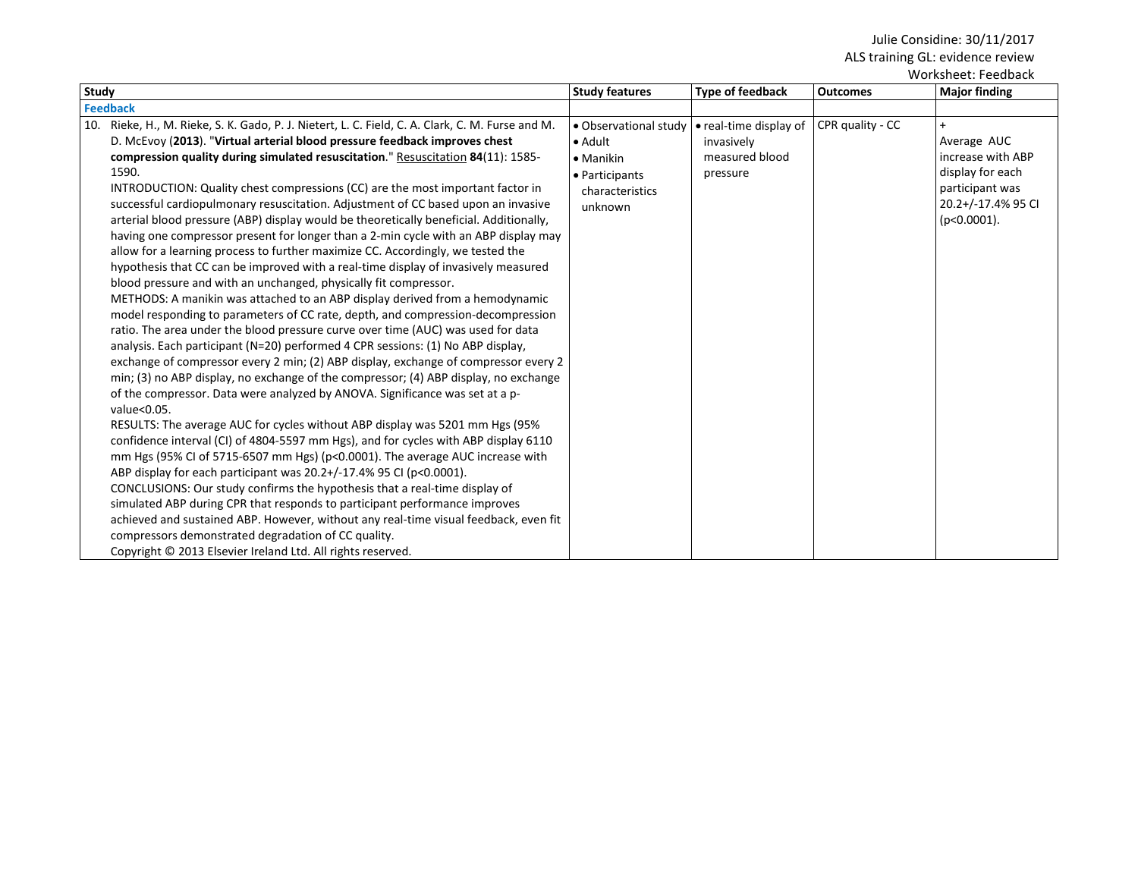| <b>Study</b>                                                                                                                                                                                                                                                                                                                                                                                                                                                                                                                                                                                                                                                                                                                                                                                                                                                                                                                                                                                                                                                                                                                                                                                                                                                                                                                                                                                                                                                                                                                                                                                                                                                                                                                                                                                                                                                                                                                                                                                                                                                                                                                                               | <b>Study features</b>                                                                                 | <b>Type of feedback</b>                                            | <b>Outcomes</b>  | <b>Major finding</b>                                                                                            |
|------------------------------------------------------------------------------------------------------------------------------------------------------------------------------------------------------------------------------------------------------------------------------------------------------------------------------------------------------------------------------------------------------------------------------------------------------------------------------------------------------------------------------------------------------------------------------------------------------------------------------------------------------------------------------------------------------------------------------------------------------------------------------------------------------------------------------------------------------------------------------------------------------------------------------------------------------------------------------------------------------------------------------------------------------------------------------------------------------------------------------------------------------------------------------------------------------------------------------------------------------------------------------------------------------------------------------------------------------------------------------------------------------------------------------------------------------------------------------------------------------------------------------------------------------------------------------------------------------------------------------------------------------------------------------------------------------------------------------------------------------------------------------------------------------------------------------------------------------------------------------------------------------------------------------------------------------------------------------------------------------------------------------------------------------------------------------------------------------------------------------------------------------------|-------------------------------------------------------------------------------------------------------|--------------------------------------------------------------------|------------------|-----------------------------------------------------------------------------------------------------------------|
| <b>Feedback</b>                                                                                                                                                                                                                                                                                                                                                                                                                                                                                                                                                                                                                                                                                                                                                                                                                                                                                                                                                                                                                                                                                                                                                                                                                                                                                                                                                                                                                                                                                                                                                                                                                                                                                                                                                                                                                                                                                                                                                                                                                                                                                                                                            |                                                                                                       |                                                                    |                  |                                                                                                                 |
| Rieke, H., M. Rieke, S. K. Gado, P. J. Nietert, L. C. Field, C. A. Clark, C. M. Furse and M.<br>10.<br>D. McEvoy (2013). "Virtual arterial blood pressure feedback improves chest<br>compression quality during simulated resuscitation." Resuscitation 84(11): 1585-<br>1590.<br>INTRODUCTION: Quality chest compressions (CC) are the most important factor in<br>successful cardiopulmonary resuscitation. Adjustment of CC based upon an invasive<br>arterial blood pressure (ABP) display would be theoretically beneficial. Additionally,<br>having one compressor present for longer than a 2-min cycle with an ABP display may<br>allow for a learning process to further maximize CC. Accordingly, we tested the<br>hypothesis that CC can be improved with a real-time display of invasively measured<br>blood pressure and with an unchanged, physically fit compressor.<br>METHODS: A manikin was attached to an ABP display derived from a hemodynamic<br>model responding to parameters of CC rate, depth, and compression-decompression<br>ratio. The area under the blood pressure curve over time (AUC) was used for data<br>analysis. Each participant (N=20) performed 4 CPR sessions: (1) No ABP display,<br>exchange of compressor every 2 min; (2) ABP display, exchange of compressor every 2<br>min; (3) no ABP display, no exchange of the compressor; (4) ABP display, no exchange<br>of the compressor. Data were analyzed by ANOVA. Significance was set at a p-<br>value<0.05.<br>RESULTS: The average AUC for cycles without ABP display was 5201 mm Hgs (95%)<br>confidence interval (CI) of 4804-5597 mm Hgs), and for cycles with ABP display 6110<br>mm Hgs (95% CI of 5715-6507 mm Hgs) ( $p<0.0001$ ). The average AUC increase with<br>ABP display for each participant was 20.2+/-17.4% 95 CI (p<0.0001).<br>CONCLUSIONS: Our study confirms the hypothesis that a real-time display of<br>simulated ABP during CPR that responds to participant performance improves<br>achieved and sustained ABP. However, without any real-time visual feedback, even fit<br>compressors demonstrated degradation of CC quality. | · Observational study<br>• Adult<br>$\bullet$ Manikin<br>• Participants<br>characteristics<br>unknown | • real-time display of<br>invasively<br>measured blood<br>pressure | CPR quality - CC | Average AUC<br>increase with ABP<br>display for each<br>participant was<br>20.2+/-17.4% 95 CI<br>$(p<0.0001)$ . |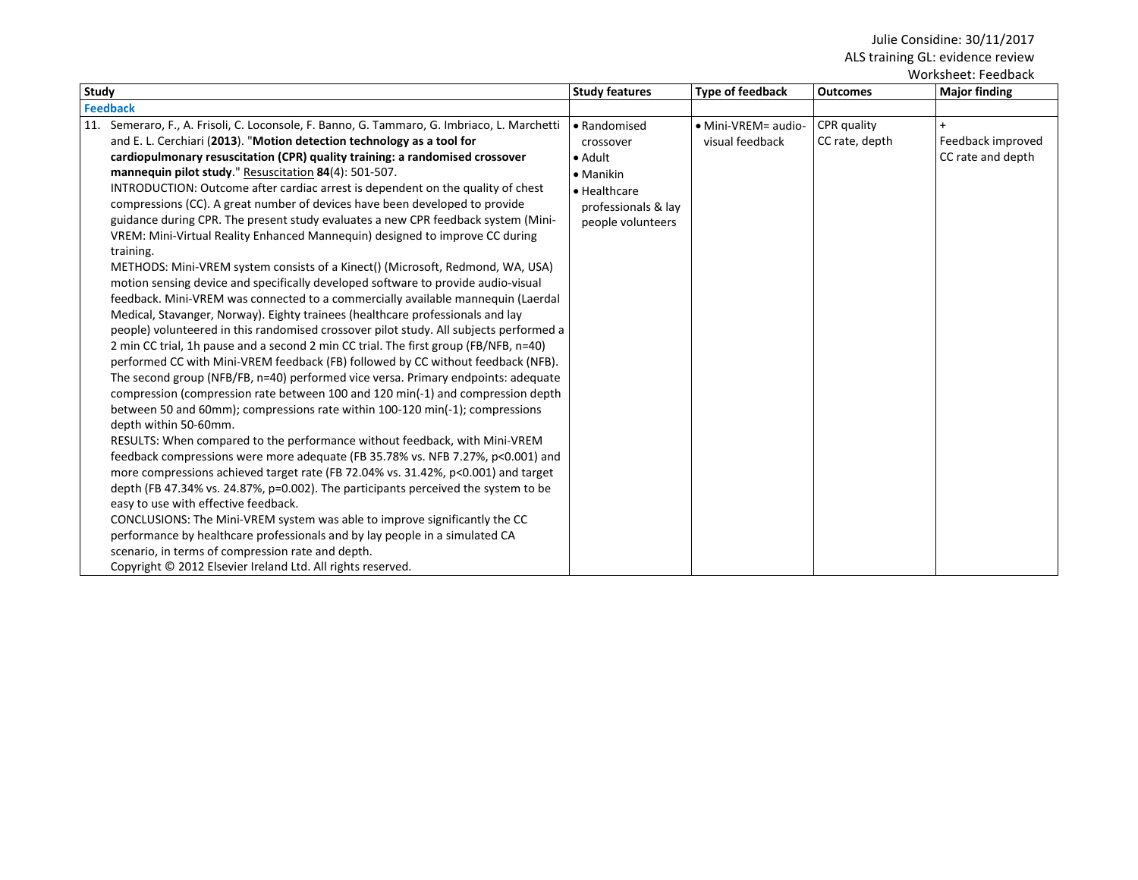| Worksheet: Feedback                                                                                                                                                                                                                                                                                                                                                                                                                                                                                                                                                                                                                                                                                                                                                                                                                                                                                                                                                                                                                                                                                                                                                                                                                                                                                                                                                                                                                                                                                                                                                                                                                                                                                                                                                                                                                                                                                                                                                                                                                                                                                                                                                                                                                            |                                                                                                                       |                                        |                               |                                        |  |
|------------------------------------------------------------------------------------------------------------------------------------------------------------------------------------------------------------------------------------------------------------------------------------------------------------------------------------------------------------------------------------------------------------------------------------------------------------------------------------------------------------------------------------------------------------------------------------------------------------------------------------------------------------------------------------------------------------------------------------------------------------------------------------------------------------------------------------------------------------------------------------------------------------------------------------------------------------------------------------------------------------------------------------------------------------------------------------------------------------------------------------------------------------------------------------------------------------------------------------------------------------------------------------------------------------------------------------------------------------------------------------------------------------------------------------------------------------------------------------------------------------------------------------------------------------------------------------------------------------------------------------------------------------------------------------------------------------------------------------------------------------------------------------------------------------------------------------------------------------------------------------------------------------------------------------------------------------------------------------------------------------------------------------------------------------------------------------------------------------------------------------------------------------------------------------------------------------------------------------------------|-----------------------------------------------------------------------------------------------------------------------|----------------------------------------|-------------------------------|----------------------------------------|--|
| Study                                                                                                                                                                                                                                                                                                                                                                                                                                                                                                                                                                                                                                                                                                                                                                                                                                                                                                                                                                                                                                                                                                                                                                                                                                                                                                                                                                                                                                                                                                                                                                                                                                                                                                                                                                                                                                                                                                                                                                                                                                                                                                                                                                                                                                          | <b>Study features</b>                                                                                                 | <b>Type of feedback</b>                | <b>Outcomes</b>               | <b>Major finding</b>                   |  |
| <b>Feedback</b>                                                                                                                                                                                                                                                                                                                                                                                                                                                                                                                                                                                                                                                                                                                                                                                                                                                                                                                                                                                                                                                                                                                                                                                                                                                                                                                                                                                                                                                                                                                                                                                                                                                                                                                                                                                                                                                                                                                                                                                                                                                                                                                                                                                                                                |                                                                                                                       |                                        |                               |                                        |  |
| Semeraro, F., A. Frisoli, C. Loconsole, F. Banno, G. Tammaro, G. Imbriaco, L. Marchetti<br>11.<br>and E. L. Cerchiari (2013). "Motion detection technology as a tool for<br>cardiopulmonary resuscitation (CPR) quality training: a randomised crossover<br>mannequin pilot study." Resuscitation 84(4): 501-507.<br>INTRODUCTION: Outcome after cardiac arrest is dependent on the quality of chest<br>compressions (CC). A great number of devices have been developed to provide<br>guidance during CPR. The present study evaluates a new CPR feedback system (Mini-<br>VREM: Mini-Virtual Reality Enhanced Mannequin) designed to improve CC during<br>training.<br>METHODS: Mini-VREM system consists of a Kinect() (Microsoft, Redmond, WA, USA)<br>motion sensing device and specifically developed software to provide audio-visual<br>feedback. Mini-VREM was connected to a commercially available mannequin (Laerdal<br>Medical, Stavanger, Norway). Eighty trainees (healthcare professionals and lay<br>people) volunteered in this randomised crossover pilot study. All subjects performed a<br>2 min CC trial, 1h pause and a second 2 min CC trial. The first group (FB/NFB, n=40)<br>performed CC with Mini-VREM feedback (FB) followed by CC without feedback (NFB).<br>The second group (NFB/FB, n=40) performed vice versa. Primary endpoints: adequate<br>compression (compression rate between 100 and 120 min(-1) and compression depth<br>between 50 and 60mm); compressions rate within 100-120 min(-1); compressions<br>depth within 50-60mm.<br>RESULTS: When compared to the performance without feedback, with Mini-VREM<br>feedback compressions were more adequate (FB 35.78% vs. NFB 7.27%, p<0.001) and<br>more compressions achieved target rate (FB 72.04% vs. 31.42%, p<0.001) and target<br>depth (FB 47.34% vs. 24.87%, p=0.002). The participants perceived the system to be<br>easy to use with effective feedback.<br>CONCLUSIONS: The Mini-VREM system was able to improve significantly the CC<br>performance by healthcare professionals and by lay people in a simulated CA<br>scenario, in terms of compression rate and depth.<br>Copyright © 2012 Elsevier Ireland Ltd. All rights reserved. | • Randomised<br>crossover<br>• Adult<br>$\bullet$ Manikin<br>· Healthcare<br>professionals & lay<br>people volunteers | • Mini-VREM= audio-<br>visual feedback | CPR quality<br>CC rate, depth | Feedback improved<br>CC rate and depth |  |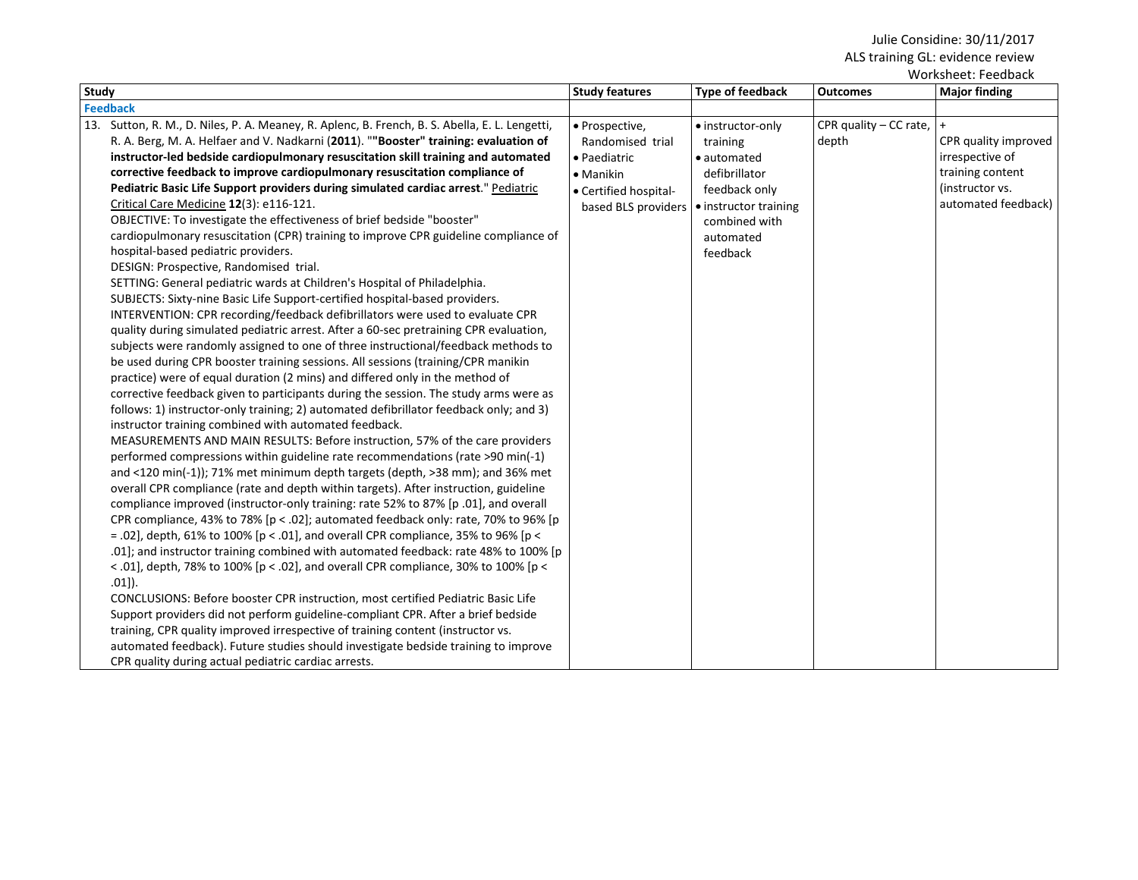| <b>Study</b> |                                                                                                | <b>Study features</b> | Type of feedback      | <b>Outcomes</b>        | VVUI NJITEELI TEEUDULN<br><b>Major finding</b> |  |  |
|--------------|------------------------------------------------------------------------------------------------|-----------------------|-----------------------|------------------------|------------------------------------------------|--|--|
|              | <b>Feedback</b>                                                                                |                       |                       |                        |                                                |  |  |
|              | 13. Sutton, R. M., D. Niles, P. A. Meaney, R. Aplenc, B. French, B. S. Abella, E. L. Lengetti, | · Prospective,        | • instructor-only     | CPR quality – CC rate, | $\ddot{}$                                      |  |  |
|              | R. A. Berg, M. A. Helfaer and V. Nadkarni (2011). ""Booster" training: evaluation of           | Randomised trial      | training              | depth                  | CPR quality improved                           |  |  |
|              | instructor-led bedside cardiopulmonary resuscitation skill training and automated              | · Paediatric          | • automated           |                        | irrespective of                                |  |  |
|              | corrective feedback to improve cardiopulmonary resuscitation compliance of                     | • Manikin             | defibrillator         |                        | training content                               |  |  |
|              | Pediatric Basic Life Support providers during simulated cardiac arrest." Pediatric             | • Certified hospital- | feedback only         |                        | (instructor vs.                                |  |  |
|              | Critical Care Medicine 12(3): e116-121.                                                        | based BLS providers   | • instructor training |                        | automated feedback)                            |  |  |
|              | OBJECTIVE: To investigate the effectiveness of brief bedside "booster"                         |                       | combined with         |                        |                                                |  |  |
|              | cardiopulmonary resuscitation (CPR) training to improve CPR guideline compliance of            |                       | automated             |                        |                                                |  |  |
|              | hospital-based pediatric providers.                                                            |                       | feedback              |                        |                                                |  |  |
|              | DESIGN: Prospective, Randomised trial.                                                         |                       |                       |                        |                                                |  |  |
|              | SETTING: General pediatric wards at Children's Hospital of Philadelphia.                       |                       |                       |                        |                                                |  |  |
|              | SUBJECTS: Sixty-nine Basic Life Support-certified hospital-based providers.                    |                       |                       |                        |                                                |  |  |
|              | INTERVENTION: CPR recording/feedback defibrillators were used to evaluate CPR                  |                       |                       |                        |                                                |  |  |
|              | quality during simulated pediatric arrest. After a 60-sec pretraining CPR evaluation,          |                       |                       |                        |                                                |  |  |
|              | subjects were randomly assigned to one of three instructional/feedback methods to              |                       |                       |                        |                                                |  |  |
|              | be used during CPR booster training sessions. All sessions (training/CPR manikin               |                       |                       |                        |                                                |  |  |
|              | practice) were of equal duration (2 mins) and differed only in the method of                   |                       |                       |                        |                                                |  |  |
|              | corrective feedback given to participants during the session. The study arms were as           |                       |                       |                        |                                                |  |  |
|              | follows: 1) instructor-only training; 2) automated defibrillator feedback only; and 3)         |                       |                       |                        |                                                |  |  |
|              | instructor training combined with automated feedback.                                          |                       |                       |                        |                                                |  |  |
|              | MEASUREMENTS AND MAIN RESULTS: Before instruction, 57% of the care providers                   |                       |                       |                        |                                                |  |  |
|              | performed compressions within guideline rate recommendations (rate >90 min(-1)                 |                       |                       |                        |                                                |  |  |
|              | and <120 min(-1)); 71% met minimum depth targets (depth, >38 mm); and 36% met                  |                       |                       |                        |                                                |  |  |
|              | overall CPR compliance (rate and depth within targets). After instruction, guideline           |                       |                       |                        |                                                |  |  |
|              | compliance improved (instructor-only training: rate 52% to 87% [p.01], and overall             |                       |                       |                        |                                                |  |  |
|              | CPR compliance, 43% to 78% [ $p < .02$ ]; automated feedback only: rate, 70% to 96% [ $p$      |                       |                       |                        |                                                |  |  |
|              | = .02], depth, 61% to 100% [p < .01], and overall CPR compliance, 35% to 96% [p <              |                       |                       |                        |                                                |  |  |
|              | .01]; and instructor training combined with automated feedback: rate 48% to 100% [p            |                       |                       |                        |                                                |  |  |
|              | < .01], depth, 78% to 100% [p < .02], and overall CPR compliance, 30% to 100% [p <             |                       |                       |                        |                                                |  |  |
|              | $.01$ .                                                                                        |                       |                       |                        |                                                |  |  |
|              | CONCLUSIONS: Before booster CPR instruction, most certified Pediatric Basic Life               |                       |                       |                        |                                                |  |  |
|              | Support providers did not perform guideline-compliant CPR. After a brief bedside               |                       |                       |                        |                                                |  |  |
|              | training, CPR quality improved irrespective of training content (instructor vs.                |                       |                       |                        |                                                |  |  |
|              | automated feedback). Future studies should investigate bedside training to improve             |                       |                       |                        |                                                |  |  |
|              | CPR quality during actual pediatric cardiac arrests.                                           |                       |                       |                        |                                                |  |  |